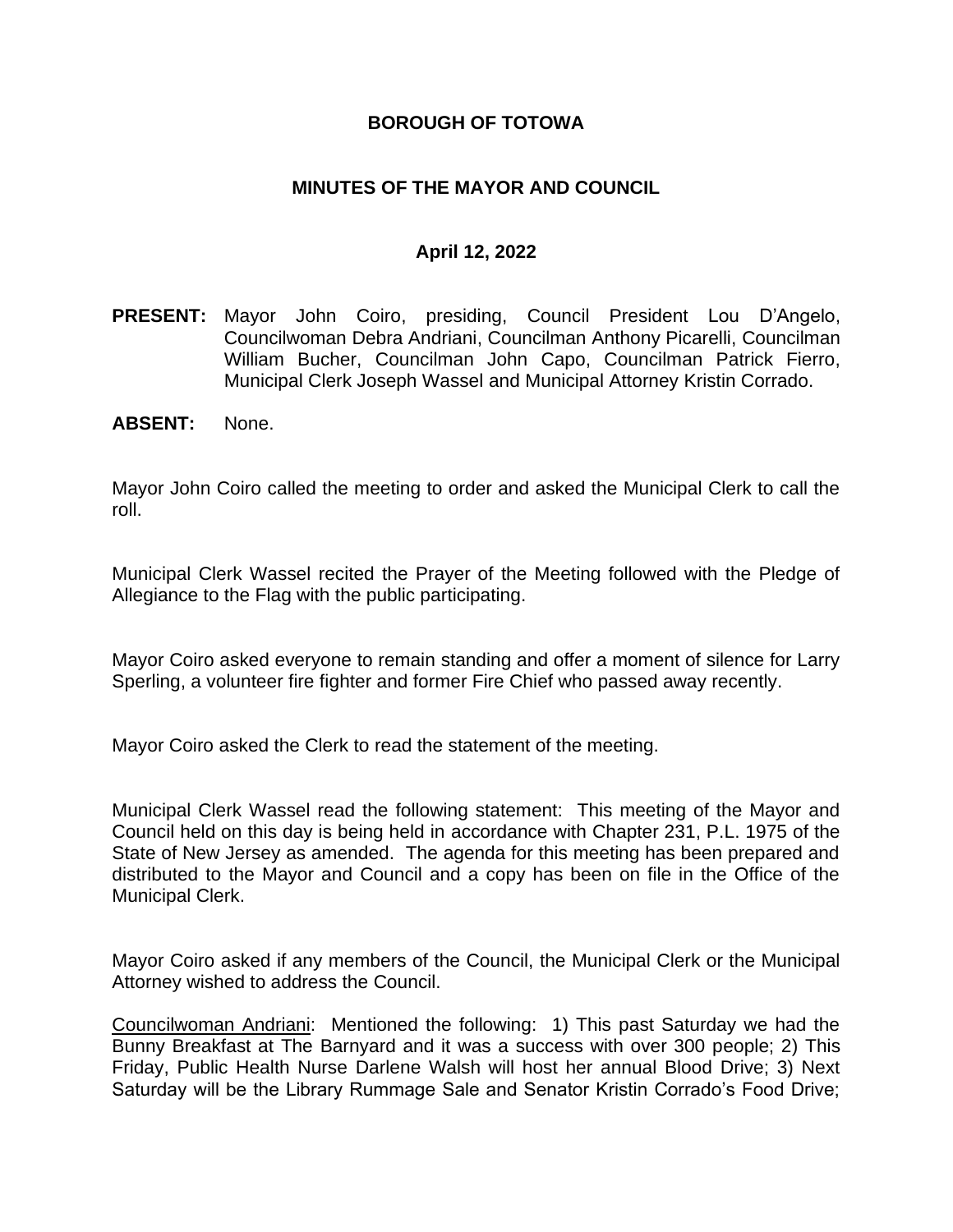### **BOROUGH OF TOTOWA**

## **MINUTES OF THE MAYOR AND COUNCIL**

### **April 12, 2022**

- **PRESENT:** Mayor John Coiro, presiding, Council President Lou D'Angelo, Councilwoman Debra Andriani, Councilman Anthony Picarelli, Councilman William Bucher, Councilman John Capo, Councilman Patrick Fierro, Municipal Clerk Joseph Wassel and Municipal Attorney Kristin Corrado.
- **ABSENT:** None.

Mayor John Coiro called the meeting to order and asked the Municipal Clerk to call the roll.

Municipal Clerk Wassel recited the Prayer of the Meeting followed with the Pledge of Allegiance to the Flag with the public participating.

Mayor Coiro asked everyone to remain standing and offer a moment of silence for Larry Sperling, a volunteer fire fighter and former Fire Chief who passed away recently.

Mayor Coiro asked the Clerk to read the statement of the meeting.

Municipal Clerk Wassel read the following statement: This meeting of the Mayor and Council held on this day is being held in accordance with Chapter 231, P.L. 1975 of the State of New Jersey as amended. The agenda for this meeting has been prepared and distributed to the Mayor and Council and a copy has been on file in the Office of the Municipal Clerk.

Mayor Coiro asked if any members of the Council, the Municipal Clerk or the Municipal Attorney wished to address the Council.

Councilwoman Andriani: Mentioned the following: 1) This past Saturday we had the Bunny Breakfast at The Barnyard and it was a success with over 300 people; 2) This Friday, Public Health Nurse Darlene Walsh will host her annual Blood Drive; 3) Next Saturday will be the Library Rummage Sale and Senator Kristin Corrado's Food Drive;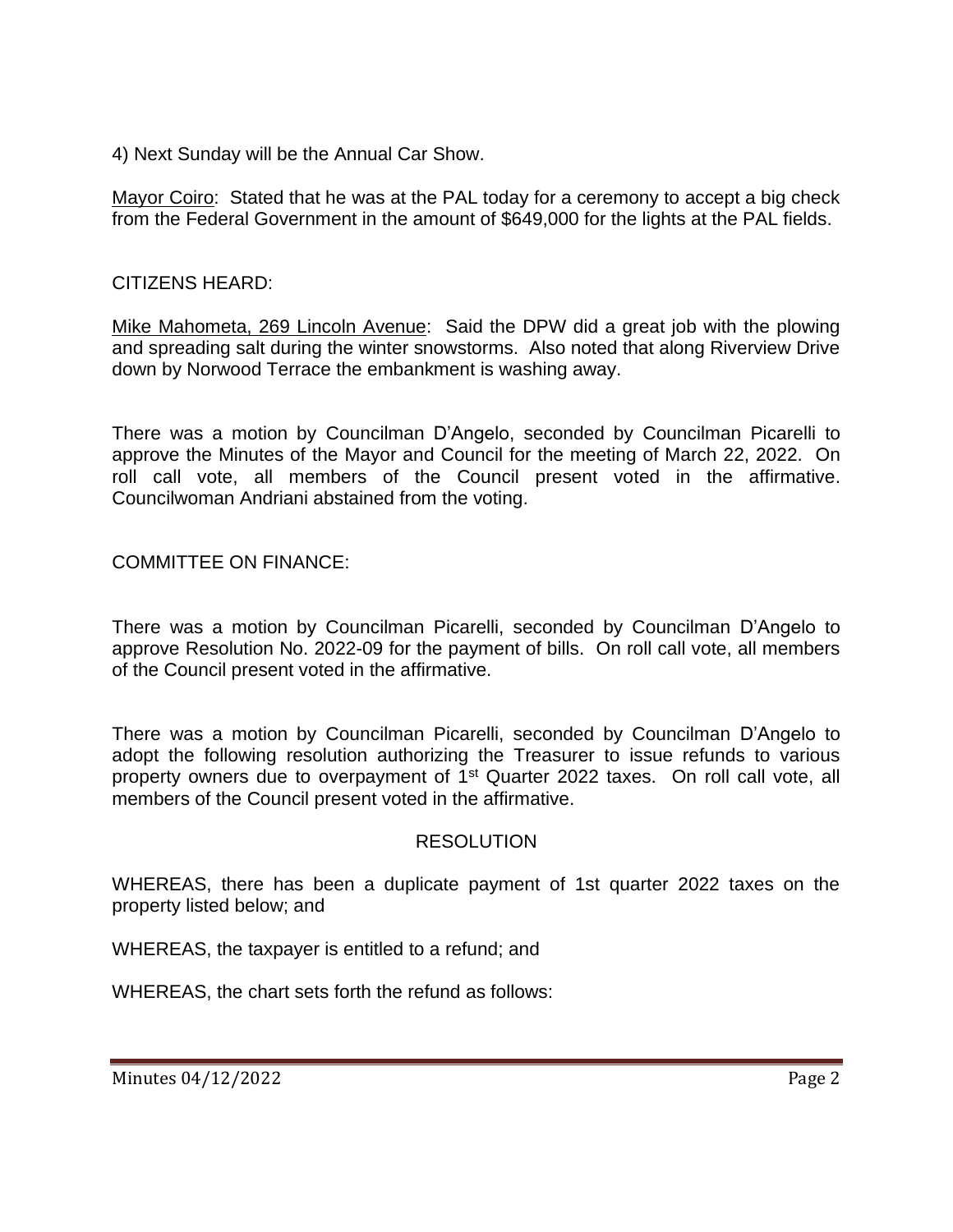4) Next Sunday will be the Annual Car Show.

Mayor Coiro: Stated that he was at the PAL today for a ceremony to accept a big check from the Federal Government in the amount of \$649,000 for the lights at the PAL fields.

## CITIZENS HEARD:

Mike Mahometa, 269 Lincoln Avenue: Said the DPW did a great job with the plowing and spreading salt during the winter snowstorms. Also noted that along Riverview Drive down by Norwood Terrace the embankment is washing away.

There was a motion by Councilman D'Angelo, seconded by Councilman Picarelli to approve the Minutes of the Mayor and Council for the meeting of March 22, 2022. On roll call vote, all members of the Council present voted in the affirmative. Councilwoman Andriani abstained from the voting.

COMMITTEE ON FINANCE:

There was a motion by Councilman Picarelli, seconded by Councilman D'Angelo to approve Resolution No. 2022-09 for the payment of bills. On roll call vote, all members of the Council present voted in the affirmative.

There was a motion by Councilman Picarelli, seconded by Councilman D'Angelo to adopt the following resolution authorizing the Treasurer to issue refunds to various property owners due to overpayment of 1<sup>st</sup> Quarter 2022 taxes. On roll call vote, all members of the Council present voted in the affirmative.

### RESOLUTION

WHEREAS, there has been a duplicate payment of 1st quarter 2022 taxes on the property listed below; and

WHEREAS, the taxpayer is entitled to a refund; and

WHEREAS, the chart sets forth the refund as follows: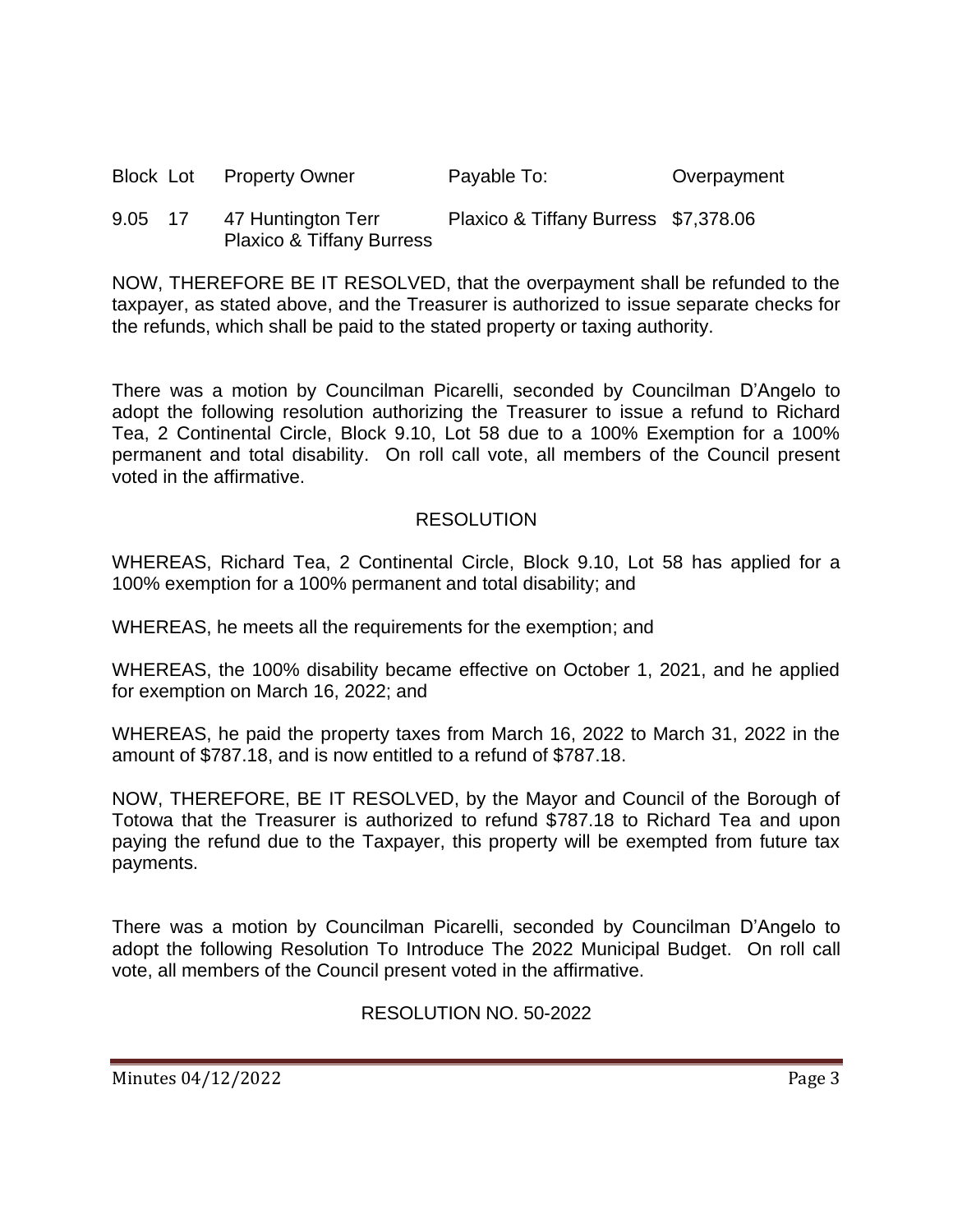|         | <b>Block Lot Property Owner</b>                            | Payable To:                          | Overpayment |
|---------|------------------------------------------------------------|--------------------------------------|-------------|
| 9.05 17 | 47 Huntington Terr<br><b>Plaxico &amp; Tiffany Burress</b> | Plaxico & Tiffany Burress \$7,378.06 |             |

NOW, THEREFORE BE IT RESOLVED, that the overpayment shall be refunded to the taxpayer, as stated above, and the Treasurer is authorized to issue separate checks for the refunds, which shall be paid to the stated property or taxing authority.

There was a motion by Councilman Picarelli, seconded by Councilman D'Angelo to adopt the following resolution authorizing the Treasurer to issue a refund to Richard Tea, 2 Continental Circle, Block 9.10, Lot 58 due to a 100% Exemption for a 100% permanent and total disability. On roll call vote, all members of the Council present voted in the affirmative.

# RESOLUTION

WHEREAS, Richard Tea, 2 Continental Circle, Block 9.10, Lot 58 has applied for a 100% exemption for a 100% permanent and total disability; and

WHEREAS, he meets all the requirements for the exemption; and

WHEREAS, the 100% disability became effective on October 1, 2021, and he applied for exemption on March 16, 2022; and

WHEREAS, he paid the property taxes from March 16, 2022 to March 31, 2022 in the amount of \$787.18, and is now entitled to a refund of \$787.18.

NOW, THEREFORE, BE IT RESOLVED, by the Mayor and Council of the Borough of Totowa that the Treasurer is authorized to refund \$787.18 to Richard Tea and upon paying the refund due to the Taxpayer, this property will be exempted from future tax payments.

There was a motion by Councilman Picarelli, seconded by Councilman D'Angelo to adopt the following Resolution To Introduce The 2022 Municipal Budget. On roll call vote, all members of the Council present voted in the affirmative.

# RESOLUTION NO. 50-2022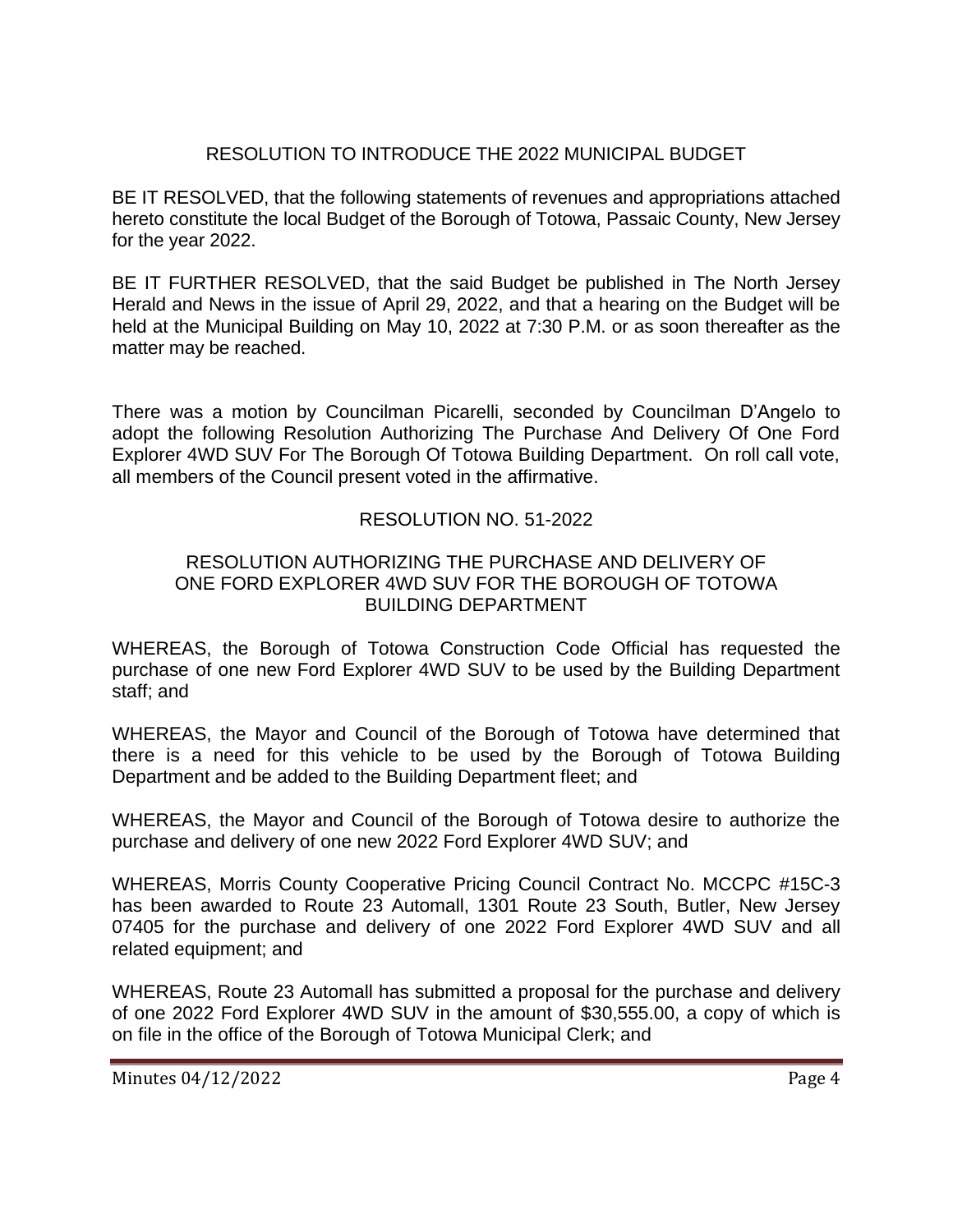# RESOLUTION TO INTRODUCE THE 2022 MUNICIPAL BUDGET

BE IT RESOLVED, that the following statements of revenues and appropriations attached hereto constitute the local Budget of the Borough of Totowa, Passaic County, New Jersey for the year 2022.

BE IT FURTHER RESOLVED, that the said Budget be published in The North Jersey Herald and News in the issue of April 29, 2022, and that a hearing on the Budget will be held at the Municipal Building on May 10, 2022 at 7:30 P.M. or as soon thereafter as the matter may be reached.

There was a motion by Councilman Picarelli, seconded by Councilman D'Angelo to adopt the following Resolution Authorizing The Purchase And Delivery Of One Ford Explorer 4WD SUV For The Borough Of Totowa Building Department. On roll call vote, all members of the Council present voted in the affirmative.

## RESOLUTION NO. 51-2022

#### RESOLUTION AUTHORIZING THE PURCHASE AND DELIVERY OF ONE FORD EXPLORER 4WD SUV FOR THE BOROUGH OF TOTOWA BUILDING DEPARTMENT

WHEREAS, the Borough of Totowa Construction Code Official has requested the purchase of one new Ford Explorer 4WD SUV to be used by the Building Department staff; and

WHEREAS, the Mayor and Council of the Borough of Totowa have determined that there is a need for this vehicle to be used by the Borough of Totowa Building Department and be added to the Building Department fleet; and

WHEREAS, the Mayor and Council of the Borough of Totowa desire to authorize the purchase and delivery of one new 2022 Ford Explorer 4WD SUV; and

WHEREAS, Morris County Cooperative Pricing Council Contract No. MCCPC #15C-3 has been awarded to Route 23 Automall, 1301 Route 23 South, Butler, New Jersey 07405 for the purchase and delivery of one 2022 Ford Explorer 4WD SUV and all related equipment; and

WHEREAS, Route 23 Automall has submitted a proposal for the purchase and delivery of one 2022 Ford Explorer 4WD SUV in the amount of \$30,555.00, a copy of which is on file in the office of the Borough of Totowa Municipal Clerk; and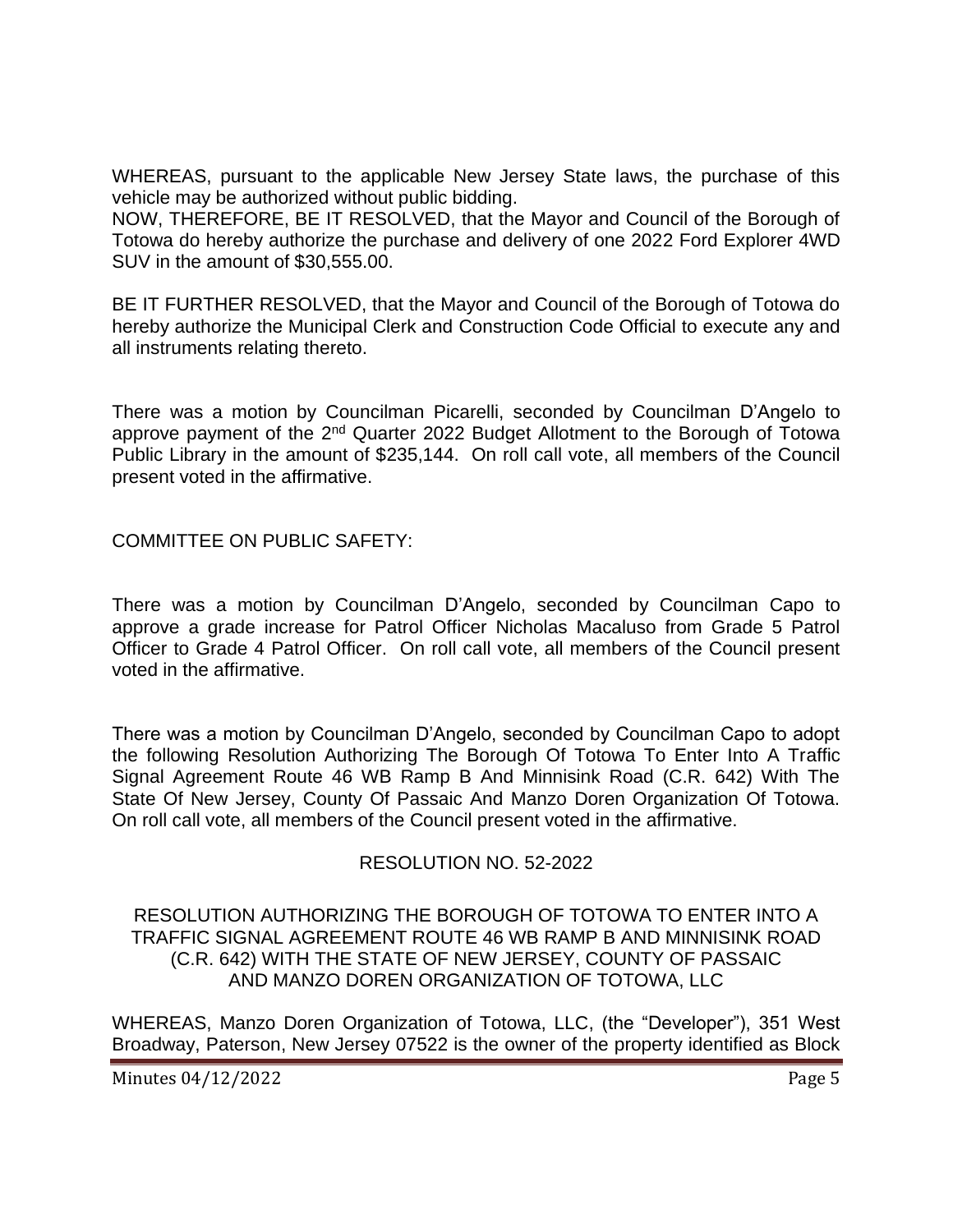WHEREAS, pursuant to the applicable New Jersey State laws, the purchase of this vehicle may be authorized without public bidding.

NOW, THEREFORE, BE IT RESOLVED, that the Mayor and Council of the Borough of Totowa do hereby authorize the purchase and delivery of one 2022 Ford Explorer 4WD SUV in the amount of \$30,555.00.

BE IT FURTHER RESOLVED, that the Mayor and Council of the Borough of Totowa do hereby authorize the Municipal Clerk and Construction Code Official to execute any and all instruments relating thereto.

There was a motion by Councilman Picarelli, seconded by Councilman D'Angelo to approve payment of the 2<sup>nd</sup> Quarter 2022 Budget Allotment to the Borough of Totowa Public Library in the amount of \$235,144. On roll call vote, all members of the Council present voted in the affirmative.

COMMITTEE ON PUBLIC SAFETY:

There was a motion by Councilman D'Angelo, seconded by Councilman Capo to approve a grade increase for Patrol Officer Nicholas Macaluso from Grade 5 Patrol Officer to Grade 4 Patrol Officer. On roll call vote, all members of the Council present voted in the affirmative.

There was a motion by Councilman D'Angelo, seconded by Councilman Capo to adopt the following Resolution Authorizing The Borough Of Totowa To Enter Into A Traffic Signal Agreement Route 46 WB Ramp B And Minnisink Road (C.R. 642) With The State Of New Jersey, County Of Passaic And Manzo Doren Organization Of Totowa. On roll call vote, all members of the Council present voted in the affirmative.

# RESOLUTION NO. 52-2022

#### RESOLUTION AUTHORIZING THE BOROUGH OF TOTOWA TO ENTER INTO A TRAFFIC SIGNAL AGREEMENT ROUTE 46 WB RAMP B AND MINNISINK ROAD (C.R. 642) WITH THE STATE OF NEW JERSEY, COUNTY OF PASSAIC AND MANZO DOREN ORGANIZATION OF TOTOWA, LLC

WHEREAS, Manzo Doren Organization of Totowa, LLC, (the "Developer"), 351 West Broadway, Paterson, New Jersey 07522 is the owner of the property identified as Block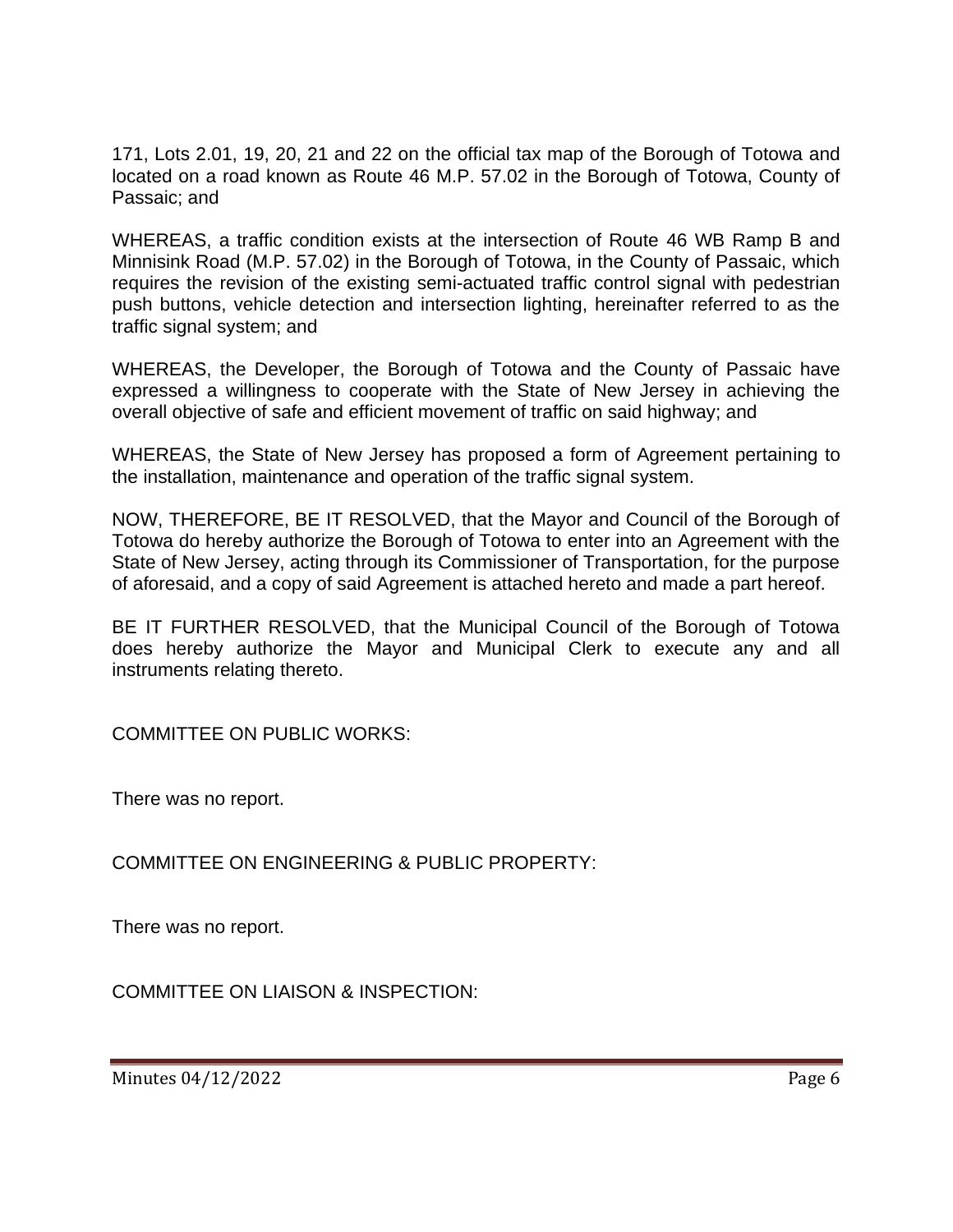171, Lots 2.01, 19, 20, 21 and 22 on the official tax map of the Borough of Totowa and located on a road known as Route 46 M.P. 57.02 in the Borough of Totowa, County of Passaic; and

WHEREAS, a traffic condition exists at the intersection of Route 46 WB Ramp B and Minnisink Road (M.P. 57.02) in the Borough of Totowa, in the County of Passaic, which requires the revision of the existing semi-actuated traffic control signal with pedestrian push buttons, vehicle detection and intersection lighting, hereinafter referred to as the traffic signal system; and

WHEREAS, the Developer, the Borough of Totowa and the County of Passaic have expressed a willingness to cooperate with the State of New Jersey in achieving the overall objective of safe and efficient movement of traffic on said highway; and

WHEREAS, the State of New Jersey has proposed a form of Agreement pertaining to the installation, maintenance and operation of the traffic signal system.

NOW, THEREFORE, BE IT RESOLVED, that the Mayor and Council of the Borough of Totowa do hereby authorize the Borough of Totowa to enter into an Agreement with the State of New Jersey, acting through its Commissioner of Transportation, for the purpose of aforesaid, and a copy of said Agreement is attached hereto and made a part hereof.

BE IT FURTHER RESOLVED, that the Municipal Council of the Borough of Totowa does hereby authorize the Mayor and Municipal Clerk to execute any and all instruments relating thereto.

COMMITTEE ON PUBLIC WORKS:

There was no report.

COMMITTEE ON ENGINEERING & PUBLIC PROPERTY:

There was no report.

COMMITTEE ON LIAISON & INSPECTION: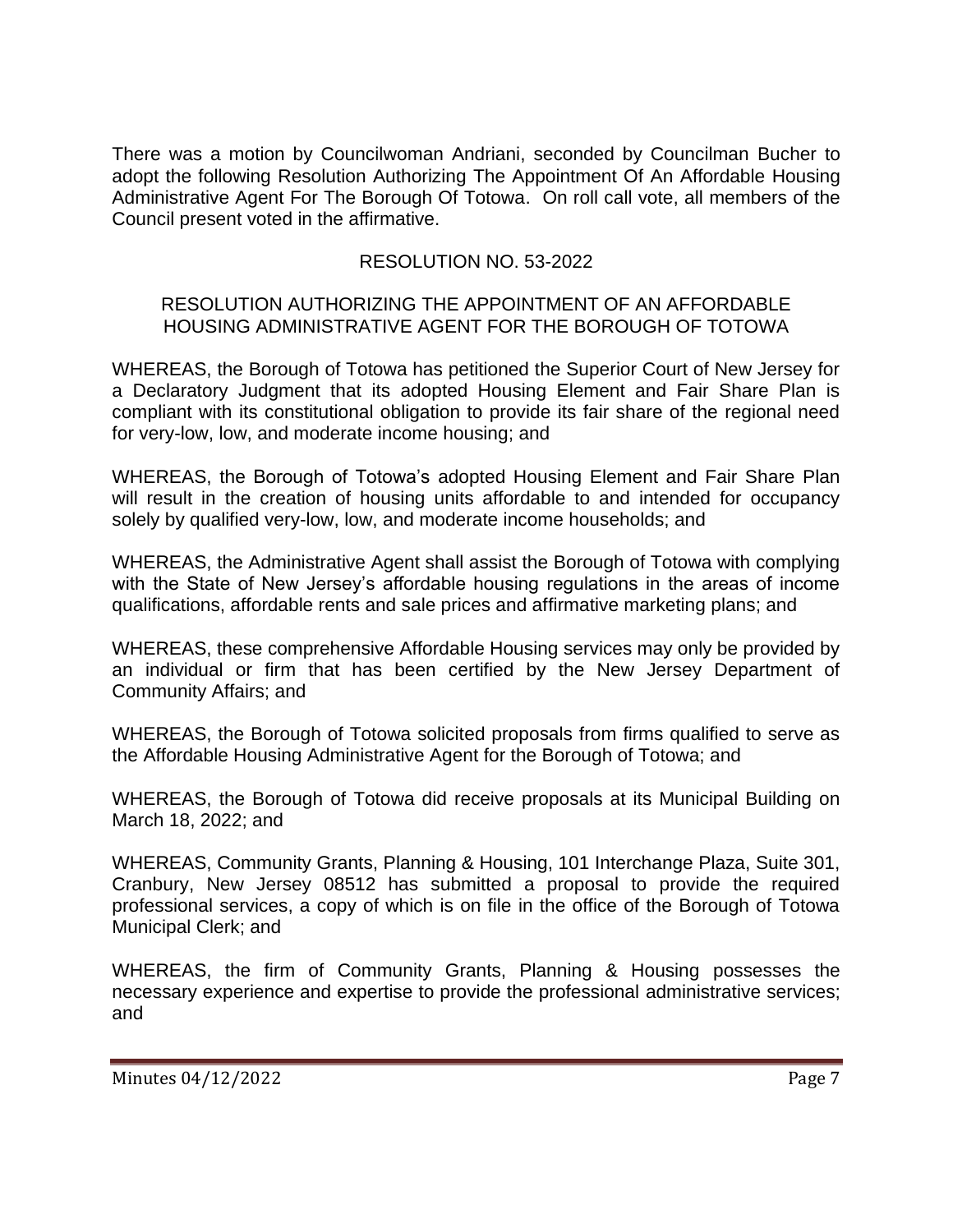There was a motion by Councilwoman Andriani, seconded by Councilman Bucher to adopt the following Resolution Authorizing The Appointment Of An Affordable Housing Administrative Agent For The Borough Of Totowa. On roll call vote, all members of the Council present voted in the affirmative.

# RESOLUTION NO. 53-2022

### RESOLUTION AUTHORIZING THE APPOINTMENT OF AN AFFORDABLE HOUSING ADMINISTRATIVE AGENT FOR THE BOROUGH OF TOTOWA

WHEREAS, the Borough of Totowa has petitioned the Superior Court of New Jersey for a Declaratory Judgment that its adopted Housing Element and Fair Share Plan is compliant with its constitutional obligation to provide its fair share of the regional need for very-low, low, and moderate income housing; and

WHEREAS, the Borough of Totowa's adopted Housing Element and Fair Share Plan will result in the creation of housing units affordable to and intended for occupancy solely by qualified very-low, low, and moderate income households; and

WHEREAS, the Administrative Agent shall assist the Borough of Totowa with complying with the State of New Jersey's affordable housing regulations in the areas of income qualifications, affordable rents and sale prices and affirmative marketing plans; and

WHEREAS, these comprehensive Affordable Housing services may only be provided by an individual or firm that has been certified by the New Jersey Department of Community Affairs; and

WHEREAS, the Borough of Totowa solicited proposals from firms qualified to serve as the Affordable Housing Administrative Agent for the Borough of Totowa; and

WHEREAS, the Borough of Totowa did receive proposals at its Municipal Building on March 18, 2022; and

WHEREAS, Community Grants, Planning & Housing, 101 Interchange Plaza, Suite 301, Cranbury, New Jersey 08512 has submitted a proposal to provide the required professional services, a copy of which is on file in the office of the Borough of Totowa Municipal Clerk; and

WHEREAS, the firm of Community Grants, Planning & Housing possesses the necessary experience and expertise to provide the professional administrative services; and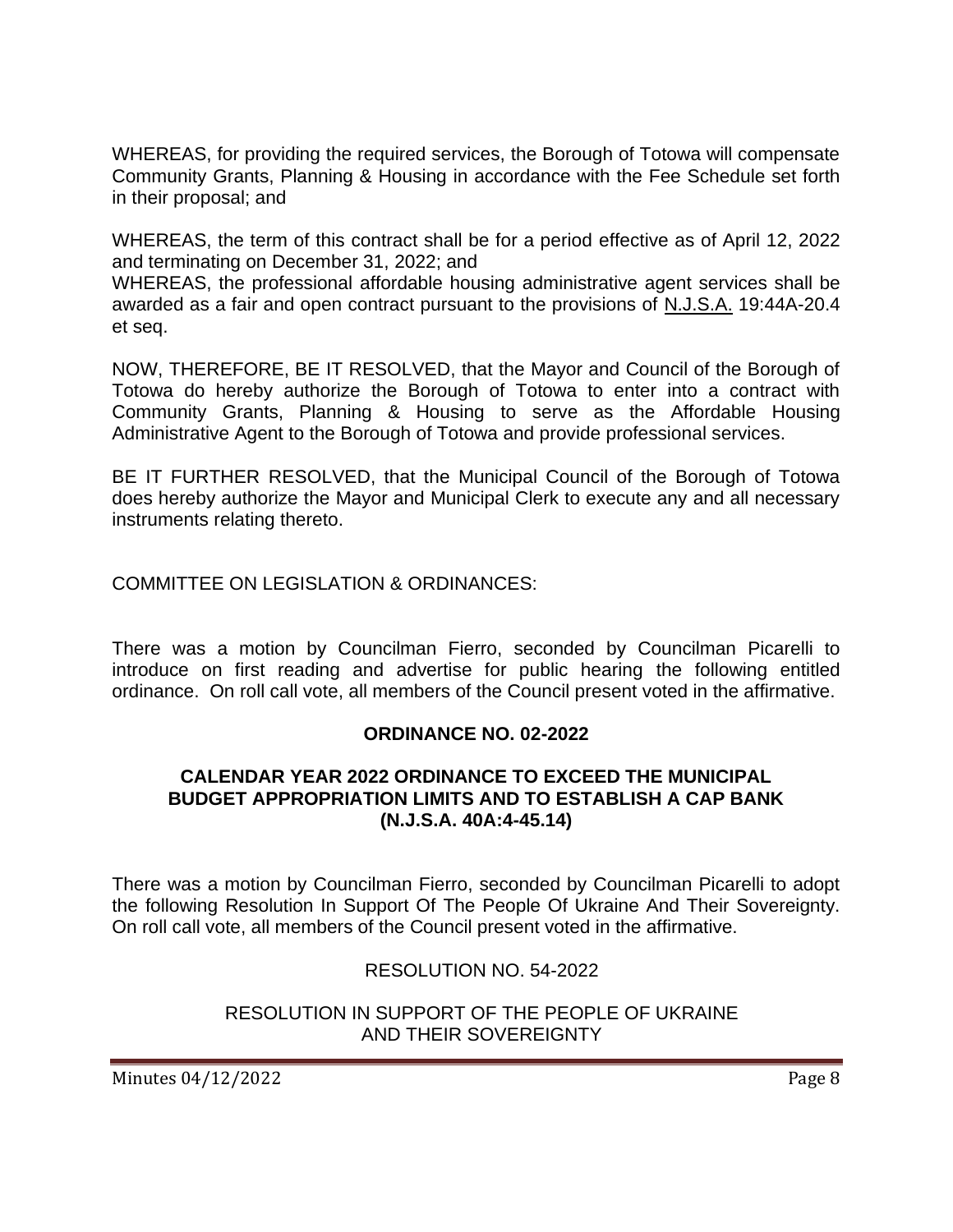WHEREAS, for providing the required services, the Borough of Totowa will compensate Community Grants, Planning & Housing in accordance with the Fee Schedule set forth in their proposal; and

WHEREAS, the term of this contract shall be for a period effective as of April 12, 2022 and terminating on December 31, 2022; and

WHEREAS, the professional affordable housing administrative agent services shall be awarded as a fair and open contract pursuant to the provisions of N.J.S.A. 19:44A-20.4 et seq.

NOW, THEREFORE, BE IT RESOLVED, that the Mayor and Council of the Borough of Totowa do hereby authorize the Borough of Totowa to enter into a contract with Community Grants, Planning & Housing to serve as the Affordable Housing Administrative Agent to the Borough of Totowa and provide professional services.

BE IT FURTHER RESOLVED, that the Municipal Council of the Borough of Totowa does hereby authorize the Mayor and Municipal Clerk to execute any and all necessary instruments relating thereto.

COMMITTEE ON LEGISLATION & ORDINANCES:

There was a motion by Councilman Fierro, seconded by Councilman Picarelli to introduce on first reading and advertise for public hearing the following entitled ordinance. On roll call vote, all members of the Council present voted in the affirmative.

### **ORDINANCE NO. 02-2022**

#### **CALENDAR YEAR 2022 ORDINANCE TO EXCEED THE MUNICIPAL BUDGET APPROPRIATION LIMITS AND TO ESTABLISH A CAP BANK (N.J.S.A. 40A:4-45.14)**

There was a motion by Councilman Fierro, seconded by Councilman Picarelli to adopt the following Resolution In Support Of The People Of Ukraine And Their Sovereignty. On roll call vote, all members of the Council present voted in the affirmative.

# RESOLUTION NO. 54-2022

### RESOLUTION IN SUPPORT OF THE PEOPLE OF UKRAINE AND THEIR SOVEREIGNTY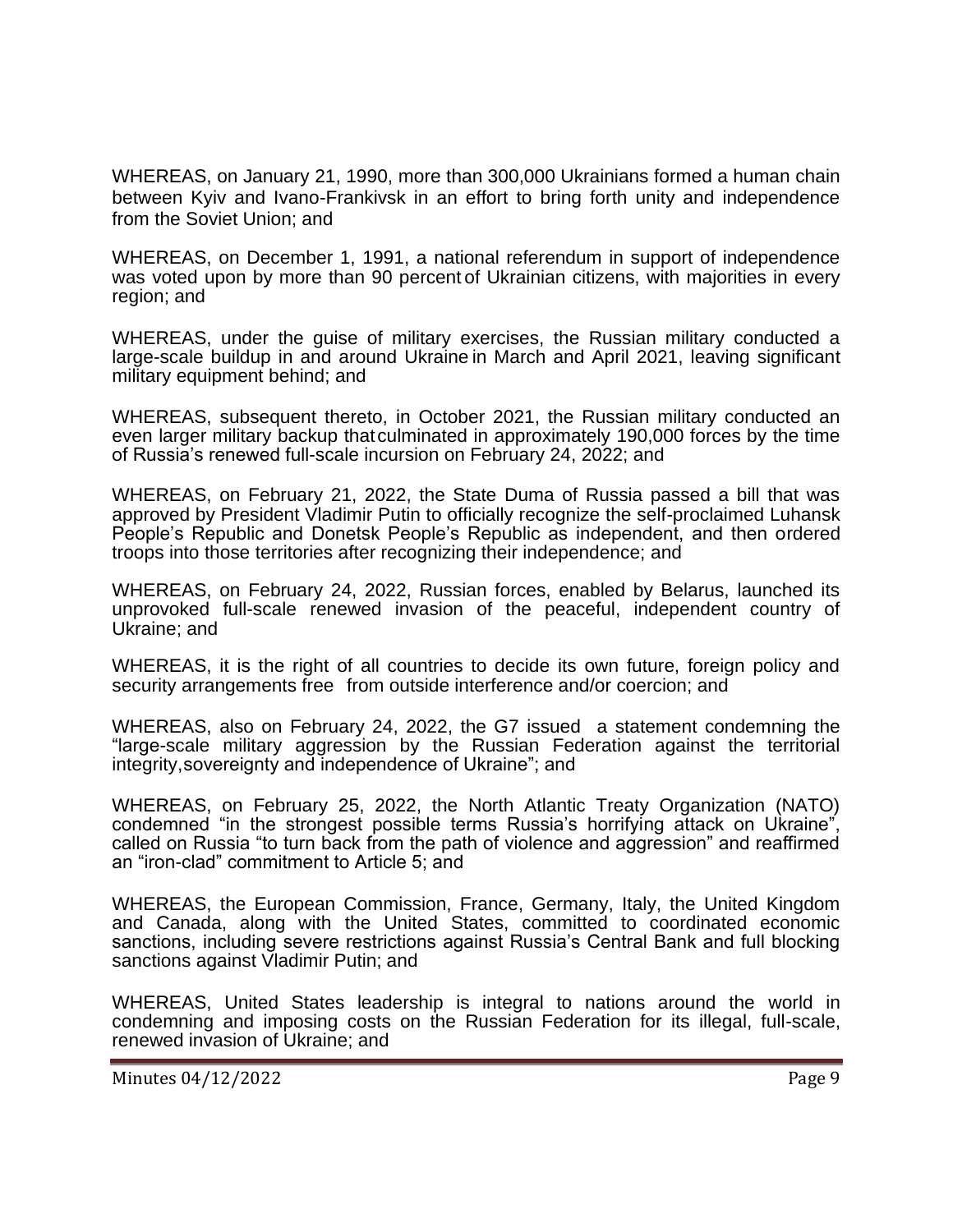WHEREAS, on January 21, 1990, more than 300,000 Ukrainians formed a human chain between Kyiv and Ivano-Frankivsk in an effort to bring forth unity and independence from the Soviet Union; and

WHEREAS, on December 1, 1991, a national referendum in support of independence was voted upon by more than 90 percent of Ukrainian citizens, with majorities in every region; and

WHEREAS, under the guise of military exercises, the Russian military conducted a large-scale buildup in and around Ukraine in March and April 2021, leaving significant military equipment behind; and

WHEREAS, subsequent thereto, in October 2021, the Russian military conducted an even larger military backup thatculminated in approximately 190,000 forces by the time of Russia's renewed full-scale incursion on February 24, 2022; and

WHEREAS, on February 21, 2022, the State Duma of Russia passed a bill that was approved by President Vladimir Putin to officially recognize the self-proclaimed Luhansk People's Republic and Donetsk People's Republic as independent, and then ordered troops into those territories after recognizing their independence; and

WHEREAS, on February 24, 2022, Russian forces, enabled by Belarus, launched its unprovoked full-scale renewed invasion of the peaceful, independent country of Ukraine; and

WHEREAS, it is the right of all countries to decide its own future, foreign policy and security arrangements free from outside interference and/or coercion; and

WHEREAS, also on February 24, 2022, the G7 issued a statement condemning the "large-scale military aggression by the Russian Federation against the territorial integrity,sovereignty and independence of Ukraine"; and

WHEREAS, on February 25, 2022, the North Atlantic Treaty Organization (NATO) condemned "in the strongest possible terms Russia's horrifying attack on Ukraine", called on Russia "to turn back from the path of violence and aggression" and reaffirmed an "iron-clad" commitment to Article 5; and

WHEREAS, the European Commission, France, Germany, Italy, the United Kingdom and Canada, along with the United States, committed to coordinated economic sanctions, including severe restrictions against Russia's Central Bank and full blocking sanctions against Vladimir Putin; and

WHEREAS, United States leadership is integral to nations around the world in condemning and imposing costs on the Russian Federation for its illegal, full-scale, renewed invasion of Ukraine; and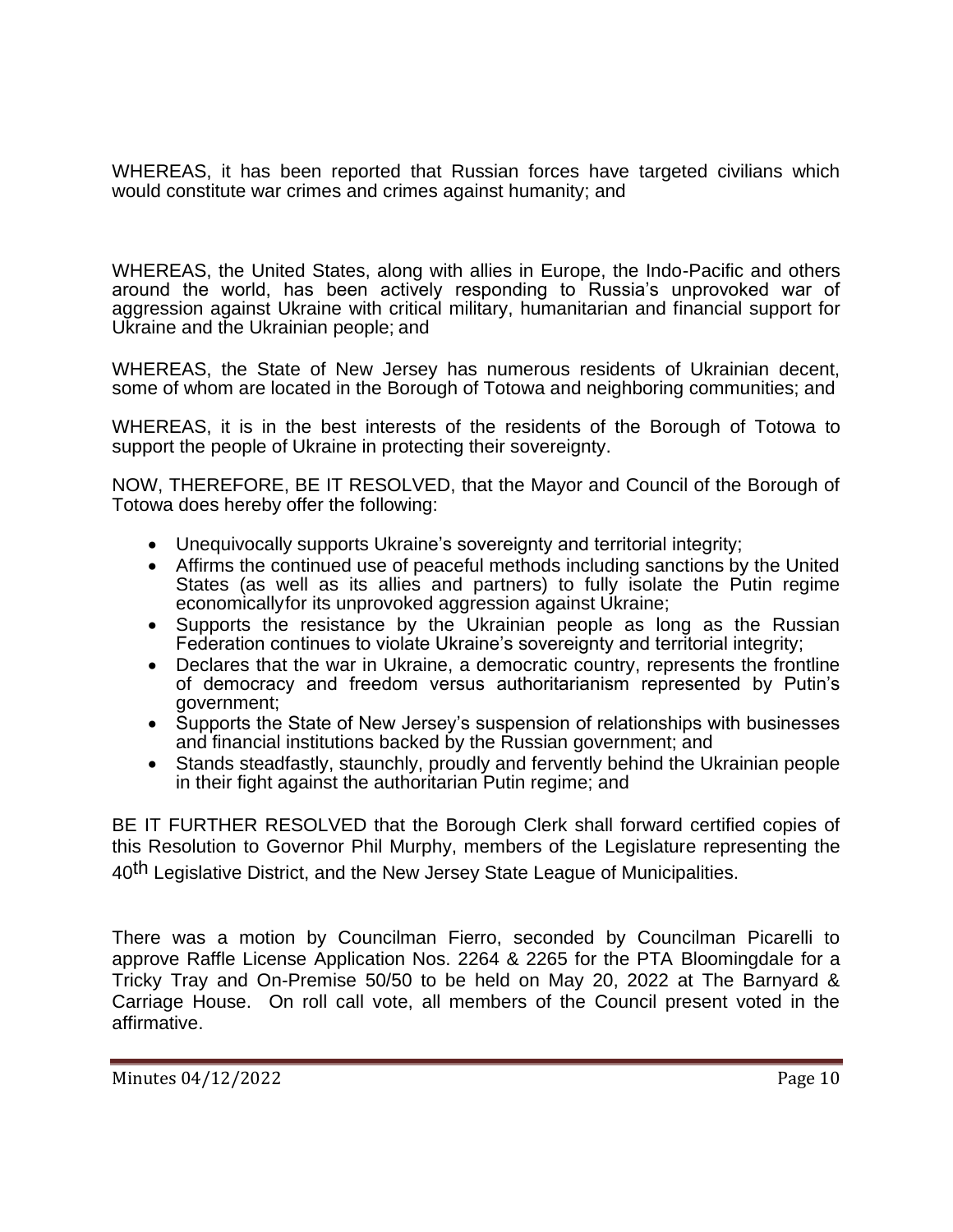WHEREAS, it has been reported that Russian forces have targeted civilians which would constitute war crimes and crimes against humanity; and

WHEREAS, the United States, along with allies in Europe, the Indo-Pacific and others around the world, has been actively responding to Russia's unprovoked war of aggression against Ukraine with critical military, humanitarian and financial support for Ukraine and the Ukrainian people; and

WHEREAS, the State of New Jersey has numerous residents of Ukrainian decent, some of whom are located in the Borough of Totowa and neighboring communities; and

WHEREAS, it is in the best interests of the residents of the Borough of Totowa to support the people of Ukraine in protecting their sovereignty.

NOW, THEREFORE, BE IT RESOLVED, that the Mayor and Council of the Borough of Totowa does hereby offer the following:

- Unequivocally supports Ukraine's sovereignty and territorial integrity;
- Affirms the continued use of peaceful methods including sanctions by the United States (as well as its allies and partners) to fully isolate the Putin regime economicallyfor its unprovoked aggression against Ukraine;
- Supports the resistance by the Ukrainian people as long as the Russian Federation continues to violate Ukraine's sovereignty and territorial integrity;
- Declares that the war in Ukraine, a democratic country, represents the frontline of democracy and freedom versus authoritarianism represented by Putin's government;
- Supports the State of New Jersey's suspension of relationships with businesses and financial institutions backed by the Russian government; and
- Stands steadfastly, staunchly, proudly and fervently behind the Ukrainian people in their fight against the authoritarian Putin regime; and

BE IT FURTHER RESOLVED that the Borough Clerk shall forward certified copies of this Resolution to Governor Phil Murphy, members of the Legislature representing the 40th Legislative District, and the New Jersey State League of Municipalities.

There was a motion by Councilman Fierro, seconded by Councilman Picarelli to approve Raffle License Application Nos. 2264 & 2265 for the PTA Bloomingdale for a Tricky Tray and On-Premise 50/50 to be held on May 20, 2022 at The Barnyard & Carriage House. On roll call vote, all members of the Council present voted in the affirmative.